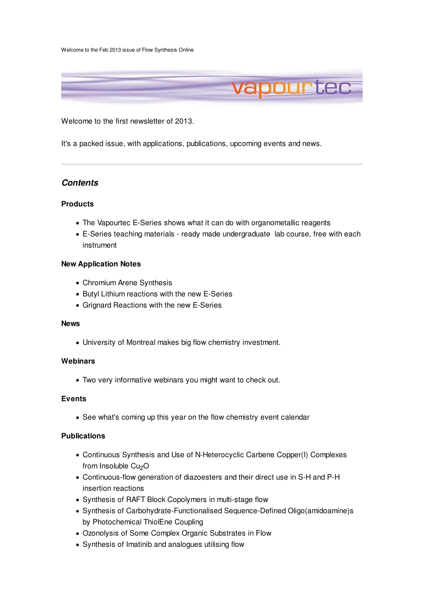Welcome to the Feb 2013 issue of Flow Synthesis Online



Welcome to the first newsletter of 2013.

It's a packed issue, with applications, publications, upcoming events and news.

# **Contents**

#### **Products**

- The Vapourtec E-Series shows what it can do with organometallic reagents
- E-Series teaching materials ready made undergraduate lab course, free with each instrument

#### **New Application Notes**

- Chromium Arene Synthesis
- Butyl Lithium reactions with the new E-Series
- Grignard Reactions with the new E-Series

#### **News**

University of Montreal makes big flow chemistry investment.

#### **Webinars**

Two very informative webinars you might want to check out.

### **Events**

• See what's coming up this year on the flow chemistry event calendar

### **Publications**

- Continuous Synthesis and Use of N-Heterocyclic Carbene Copper(I) Complexes from Insoluble Cu<sub>2</sub>O
- Continuous-flow generation of diazoesters and their direct use in S-H and P-H insertion reactions
- Synthesis of RAFT Block Copolymers in multi-stage flow
- Synthesis of Carbohydrate-Functionalised Sequence-Defined Oligo(amidoamine)s by Photochemical ThiolEne Coupling
- Ozonolysis of Some Complex Organic Substrates in Flow
- Synthesis of Imatinib and analogues utilising flow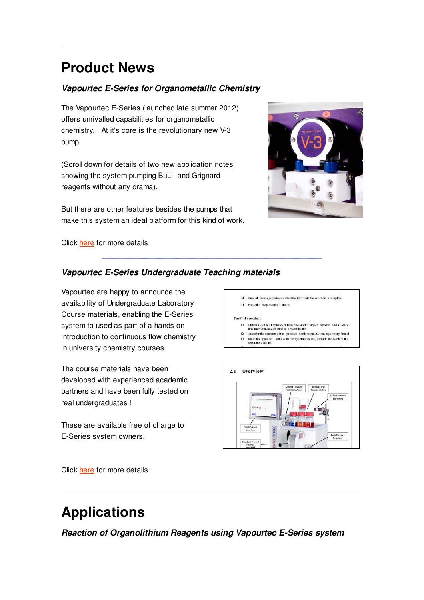# **Product News**

# **Vapourtec E-Series for Organometallic Chemistry**

The Vapourtec E-Series (launched late summer 2012) offers unrivalled capabilities for organometallic chemistry. At it's core is the revolutionary new V-3 pump.

(Scroll down for details of two new application notes showing the system pumping BuLi and Grignard reagents without any drama).

But there are other features besides the pumps that make this system an ideal platform for this kind of work.



Click here for more details

# **Vapourtec E-Series Undergraduate Teaching materials**

Vapourtec are happy to announce the availability of Undergraduate Laboratory Course materials, enabling the E-Series system to used as part of a hands on introduction to continuous flow chemistry in university chemistry courses.

The course materials have been developed with experienced academic partners and have been fully tested on real undergraduates !

These are available free of charge to E-Series system owners.



□ Press the "stop reaction" button

#### Purify the product:

 $\Box$  <br> Obtain a 250-mL Erlenmeyer flask and label it "aqueous phase" and a 250-mL Erlenmeyer flask and label it "organic phase"

- $\hfill\Box$  <br> <br> Transfer the contents of the "product" bottle to an 250-mL separatory funnel
- □ Transfer the contents of the "product" bottle to an 250-mL separatory funnel<br>□ Rinse the "product" bottle with diethyl ether (5 mL) and add the wash to the separatory funnel



Click here for more details

# **Applications**

**Reaction of Organolithium Reagents using Vapourtec E-Series system**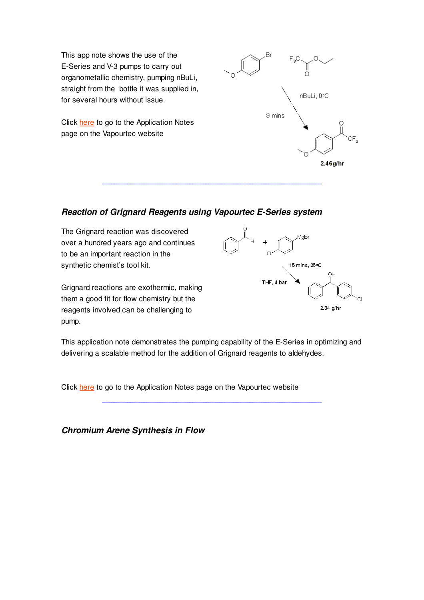This app note shows the use of the E-Series and V-3 pumps to carry out organometallic chemistry, pumping nBuLi, straight from the bottle it was supplied in, for several hours without issue.

Click here to go to the Application Notes page on the Vapourtec website



# **Reaction of Grignard Reagents using Vapourtec E-Series system**

The Grignard reaction was discovered over a hundred years ago and continues to be an important reaction in the synthetic chemist's tool kit.

Grignard reactions are exothermic, making them a good fit for flow chemistry but the reagents involved can be challenging to pump.



This application note demonstrates the pumping capability of the E-Series in optimizing and delivering a scalable method for the addition of Grignard reagents to aldehydes.

Click here to go to the Application Notes page on the Vapourtec website

**Chromium Arene Synthesis in Flow**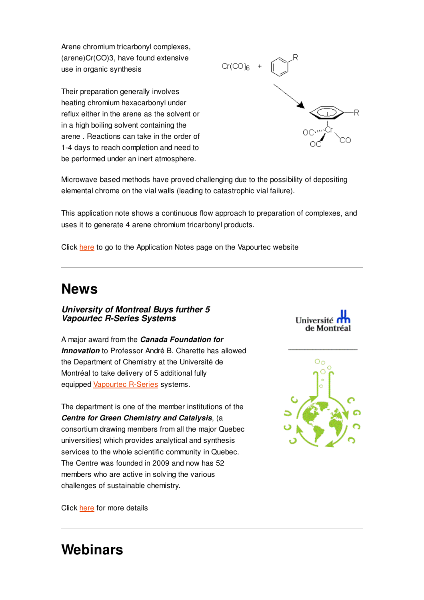Arene chromium tricarbonyl complexes, (arene)Cr(CO)3, have found extensive use in organic synthesis

Their preparation generally involves heating chromium hexacarbonyl under reflux either in the arene as the solvent or in a high boiling solvent containing the arene . Reactions can take in the order of 1-4 days to reach completion and need to be performed under an inert atmosphere.



Microwave based methods have proved challenging due to the possibility of depositing elemental chrome on the vial walls (leading to catastrophic vial failure).

This application note shows a continuous flow approach to preparation of complexes, and uses it to generate 4 arene chromium tricarbonyl products.

Click here to go to the Application Notes page on the Vapourtec website

# **News**

**University of Montreal Buys further 5 Vapourtec R-Series Systems**

A major award from the **Canada Foundation for Innovation** to Professor André B. Charette has allowed the Department of Chemistry at the Université de Montréal to take delivery of 5 additional fully equipped Vapourtec R-Series systems.

The department is one of the member institutions of the **Centre for Green Chemistry and Catalysis**, (a consortium drawing members from all the major Quebec universities) which provides analytical and synthesis services to the whole scientific community in Quebec. The Centre was founded in 2009 and now has 52 members who are active in solving the various challenges of sustainable chemistry.





Click here for more details

# **Webinars**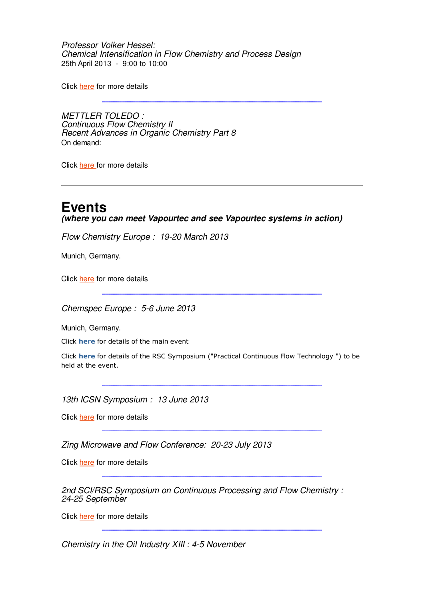Professor Volker Hessel: Chemical Intensification in Flow Chemistry and Process Design 25th April 2013 - 9:00 to 10:00

Click here for more details

METTLER TOLEDO : Continuous Flow Chemistry II Recent Advances in Organic Chemistry Part 8 On demand:

Click here for more details

# **Events**

**(where you can meet Vapourtec and see Vapourtec systems in action)**

Flow Chemistry Europe : 19-20 March 2013

Munich, Germany.

Click here for more details

Chemspec Europe : 5-6 June 2013

Munich, Germany.

Click **here** for details of the main event

Click here for details of the RSC Symposium ("Practical Continuous Flow Technology ") to be held at the event.

13th ICSN Symposium : 13 June 2013

Click here for more details

Zing Microwave and Flow Conference: 20-23 July 2013

Click here for more details

2nd SCI/RSC Symposium on Continuous Processing and Flow Chemistry : 24-25 September

Click here for more details

Chemistry in the Oil Industry XIII : 4-5 November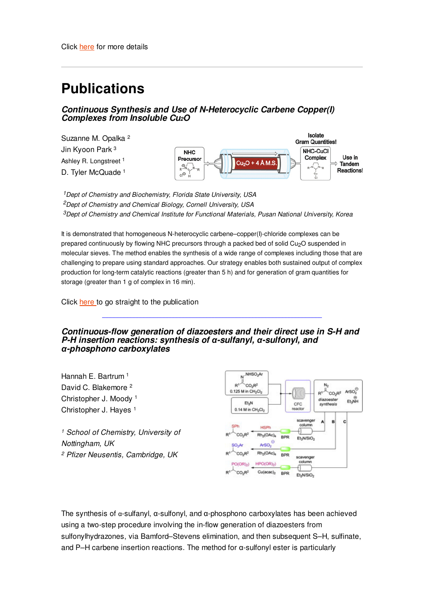# **Publications**

### **Continuous Synthesis and Use of N-Heterocyclic Carbene Copper(I) Complexes from Insoluble Cu2O**

Suzanne M. Opalka <sup>2</sup> Jin Kyoon Park <sup>3</sup> Ashley R. Longstreet<sup>1</sup> D. Tyler McQuade 1



<sup>1</sup> Dept of Chemistry and Biochemistry, Florida State University, USA <sup>2</sup>Dept of Chemistry and Chemical Biology, Cornell University, USA  $3$ Dept of Chemistry and Chemical Institute for Functional Materials, Pusan National University, Korea

It is demonstrated that homogeneous N-heterocyclic carbene–copper(I)-chloride complexes can be prepared continuously by flowing NHC precursors through a packed bed of solid Cu<sub>2</sub>O suspended in molecular sieves. The method enables the synthesis of a wide range of complexes including those that are challenging to prepare using standard approaches. Our strategy enables both sustained output of complex production for long-term catalytic reactions (greater than 5 h) and for generation of gram quantities for storage (greater than 1 g of complex in 16 min).

Click here to go straight to the publication

**Continuous-flow generation of diazoesters and their direct use in S-H and P-H insertion reactions: synthesis of** α**-sulfanyl,** α**-sulfonyl, and** α**-phosphono carboxylates**

Hannah E. Bartrum <sup>1</sup> David C. Blakemore <sup>2</sup> Christopher J. Moody <sup>1</sup> Christopher J. Hayes <sup>1</sup>

<sup>1</sup> School of Chemistry, University of Nottingham, UK <sup>2</sup> Pfizer Neusentis, Cambridge, UK

![](_page_5_Figure_11.jpeg)

The synthesis of α-sulfanyl, α-sulfonyl, and α-phosphono carboxylates has been achieved using a two-step procedure involving the in-flow generation of diazoesters from sulfonylhydrazones, via Bamford–Stevens elimination, and then subsequent S–H, sulfinate, and P–H carbene insertion reactions. The method for α-sulfonyl ester is particularly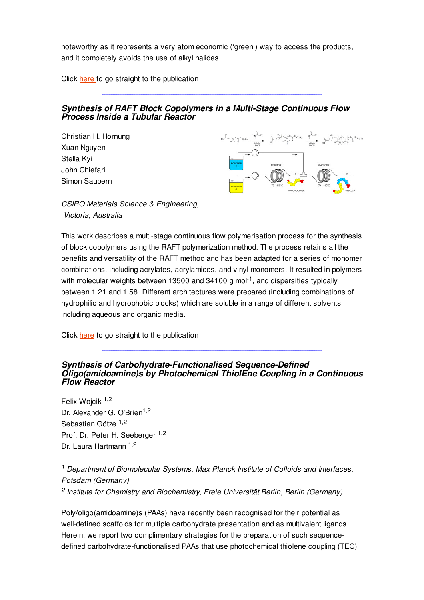noteworthy as it represents a very atom economic ('green') way to access the products, and it completely avoids the use of alkyl halides.

Click here to go straight to the publication

### **Synthesis of RAFT Block Copolymers in a Multi-Stage Continuous Flow Process Inside a Tubular Reactor**

Christian H. Hornung Xuan Nguyen Stella Kyi John Chiefari Simon Saubern

![](_page_6_Figure_4.jpeg)

CSIRO Materials Science & Engineering, Victoria, Australia

This work describes a multi-stage continuous flow polymerisation process for the synthesis of block copolymers using the RAFT polymerization method. The process retains all the benefits and versatility of the RAFT method and has been adapted for a series of monomer combinations, including acrylates, acrylamides, and vinyl monomers. It resulted in polymers with molecular weights between 13500 and 34100 g mol<sup>-1</sup>, and dispersities typically between 1.21 and 1.58. Different architectures were prepared (including combinations of hydrophilic and hydrophobic blocks) which are soluble in a range of different solvents including aqueous and organic media.

Click here to go straight to the publication

### **Synthesis of Carbohydrate-Functionalised Sequence-Defined Oligo(amidoamine)s by Photochemical ThiolEne Coupling in a Continuous Flow Reactor**

Felix Woicik 1,2 Dr. Alexander G. O'Brien<sup>1,2</sup> Sebastian Götze <sup>1,2</sup> Prof. Dr. Peter H. Seeberger <sup>1,2</sup> Dr. Laura Hartmann 1,2

<sup>1</sup> Department of Biomolecular Systems, Max Planck Institute of Colloids and Interfaces, Potsdam (Germany) <sup>2</sup> Institute for Chemistry and Biochemistry, Freie Universität Berlin, Berlin (Germany)

Poly/oligo(amidoamine)s (PAAs) have recently been recognised for their potential as well-defined scaffolds for multiple carbohydrate presentation and as multivalent ligands. Herein, we report two complimentary strategies for the preparation of such sequencedefined carbohydrate-functionalised PAAs that use photochemical thiolene coupling (TEC)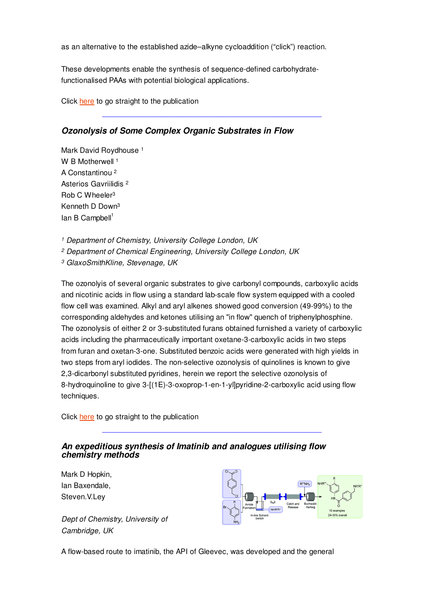as an alternative to the established azide–alkyne cycloaddition ("click") reaction.

These developments enable the synthesis of sequence-defined carbohydratefunctionalised PAAs with potential biological applications.

Click here to go straight to the publication

# **Ozonolysis of Some Complex Organic Substrates in Flow**

Mark David Roydhouse<sup>1</sup> W B Motherwell<sup>1</sup> A Constantinou <sup>2</sup> Asterios Gavriilidis <sup>2</sup> Rob C Wheeler<sup>3</sup> Kenneth D Down<sup>3</sup>  $Ian B$  Campbell<sup>1</sup>

<sup>1</sup> Department of Chemistry, University College London, UK

<sup>2</sup> Department of Chemical Engineering, University College London, UK

<sup>3</sup> GlaxoSmithKline, Stevenage, UK

The ozonolyis of several organic substrates to give carbonyl compounds, carboxylic acids and nicotinic acids in flow using a standard lab-scale flow system equipped with a cooled flow cell was examined. Alkyl and aryl alkenes showed good conversion (49-99%) to the corresponding aldehydes and ketones utilising an "in flow" quench of triphenylphosphine. The ozonolysis of either 2 or 3-substituted furans obtained furnished a variety of carboxylic acids including the pharmaceutically important oxetane-3-carboxylic acids in two steps from furan and oxetan-3-one. Substituted benzoic acids were generated with high yields in two steps from aryl iodides. The non-selective ozonolysis of quinolines is known to give 2,3-dicarbonyl substituted pyridines, herein we report the selective ozonolysis of 8-hydroquinoline to give 3-[(1E)-3-oxoprop-1-en-1-yl]pyridine-2-carboxylic acid using flow techniques.

Click here to go straight to the publication

### **An expeditious synthesis of Imatinib and analogues utilising flow chemistry methods**

Mark D Hopkin, Ian Baxendale, Steven.V.Ley

Dept of Chemistry, University of Cambridge, UK

![](_page_7_Figure_13.jpeg)

A flow-based route to imatinib, the API of Gleevec, was developed and the general